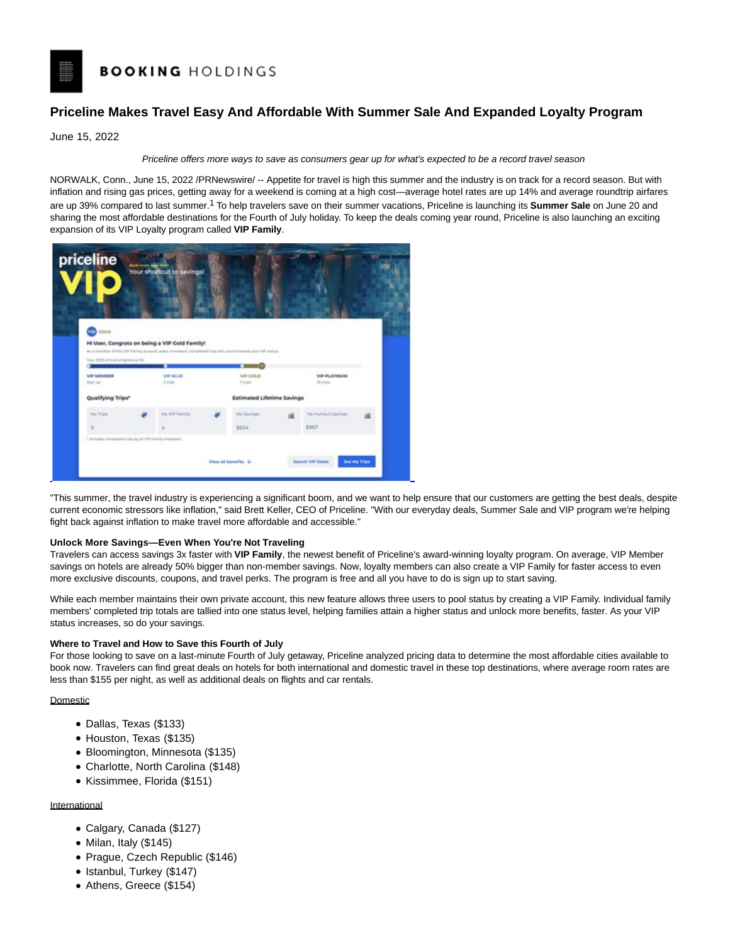# **BOOKING HOLDINGS**

# **Priceline Makes Travel Easy And Affordable With Summer Sale And Expanded Loyalty Program**

June 15, 2022

## Priceline offers more ways to save as consumers gear up for what's expected to be a record travel season

NORWALK, Conn., June 15, 2022 /PRNewswire/ -- Appetite for travel is high this summer and the industry is on track for a record season. But with inflation and rising gas prices, getting away for a weekend is coming at a high cost—average hotel rates are up 14% and average roundtrip airfares are up 39% compared to last summer.1 To help travelers save on their summer vacations, Priceline is launching its **Summer Sale** on June 20 and sharing the most affordable destinations for the Fourth of July holiday. To keep the deals coming year round, Priceline is also launching an exciting expansion of its VIP Loyalty program called **VIP Family**.



"This summer, the travel industry is experiencing a significant boom, and we want to help ensure that our customers are getting the best deals, despite current economic stressors like inflation," said Brett Keller, CEO of Priceline. "With our everyday deals, Summer Sale and VIP program we're helping fight back against inflation to make travel more affordable and accessible."

# **Unlock More Savings—Even When You're Not Traveling**

Travelers can access savings 3x faster with **VIP Family**, the newest benefit of Priceline's award-winning loyalty program. On average, VIP Member savings on hotels are already 50% bigger than non-member savings. Now, loyalty members can also create a VIP Family for faster access to even more exclusive discounts, coupons, and travel perks. The program is free and all you have to do is sign up to start saving.

While each member maintains their own private account, this new feature allows three users to pool status by creating a VIP Family. Individual family members' completed trip totals are tallied into one status level, helping families attain a higher status and unlock more benefits, faster. As your VIP status increases, so do your savings.

#### **Where to Travel and How to Save this Fourth of July**

For those looking to save on a last-minute Fourth of July getaway, Priceline analyzed pricing data to determine the most affordable cities available to book now. Travelers can find great deals on hotels for both international and domestic travel in these top destinations, where average room rates are less than \$155 per night, as well as additional deals on flights and car rentals.

# Domestic

- Dallas, Texas (\$133)
- Houston, Texas (\$135)
- Bloomington, Minnesota (\$135)
- Charlotte, North Carolina (\$148)
- Kissimmee, Florida (\$151)

# International

- Calgary, Canada (\$127)
- $\bullet$  Milan, Italy (\$145)
- Prague, Czech Republic (\$146)
- Istanbul, Turkey (\$147)
- Athens, Greece (\$154)